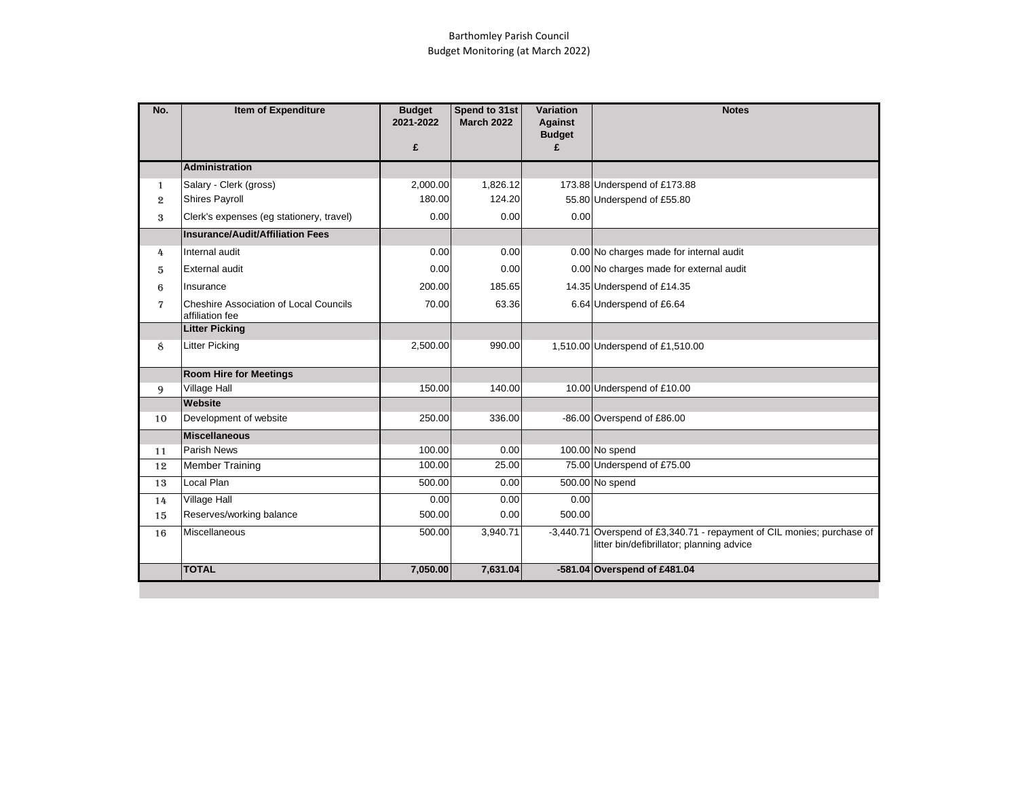## Barthomley Parish Council Budget Monitoring (at March 2022)

| No. | Item of Expenditure                                       | <b>Budget</b><br>2021-2022<br>£ | Spend to 31st<br><b>March 2022</b> | <b>Variation</b><br><b>Against</b><br><b>Budget</b><br>£ | <b>Notes</b>                                                                                                         |  |
|-----|-----------------------------------------------------------|---------------------------------|------------------------------------|----------------------------------------------------------|----------------------------------------------------------------------------------------------------------------------|--|
|     | <b>Administration</b>                                     |                                 |                                    |                                                          |                                                                                                                      |  |
| 1   | Salary - Clerk (gross)                                    | 2,000.00                        | 1,826.12                           |                                                          | 173.88 Underspend of £173.88                                                                                         |  |
| 2   | Shires Payroll                                            | 180.00                          | 124.20                             |                                                          | 55.80 Underspend of £55.80                                                                                           |  |
| 3   | Clerk's expenses (eg stationery, travel)                  | 0.00                            | 0.00                               | 0.00                                                     |                                                                                                                      |  |
|     | Insurance/Audit/Affiliation Fees                          |                                 |                                    |                                                          |                                                                                                                      |  |
| 4   | Internal audit                                            | 0.00                            | 0.00                               |                                                          | 0.00 No charges made for internal audit                                                                              |  |
| 5   | External audit                                            | 0.00                            | 0.00                               |                                                          | 0.00 No charges made for external audit                                                                              |  |
| 6   | Insurance                                                 | 200.00                          | 185.65                             |                                                          | 14.35 Underspend of £14.35                                                                                           |  |
| 7   | Cheshire Association of Local Councils<br>affiliation fee | 70.00                           | 63.36                              |                                                          | 6.64 Underspend of £6.64                                                                                             |  |
|     | <b>Litter Picking</b>                                     |                                 |                                    |                                                          |                                                                                                                      |  |
| 8   | <b>Litter Picking</b>                                     | 2,500.00                        | 990.00                             |                                                          | 1,510.00 Underspend of £1,510.00                                                                                     |  |
|     | <b>Room Hire for Meetings</b>                             |                                 |                                    |                                                          |                                                                                                                      |  |
| 9   | <b>Village Hall</b>                                       | 150.00                          | 140.00                             |                                                          | 10.00 Underspend of £10.00                                                                                           |  |
|     | Website                                                   |                                 |                                    |                                                          |                                                                                                                      |  |
| 10  | Development of website                                    | 250.00                          | 336.00                             |                                                          | -86.00 Overspend of £86.00                                                                                           |  |
|     | Miscellaneous                                             |                                 |                                    |                                                          |                                                                                                                      |  |
| 11  | <b>Parish News</b>                                        | 100.00                          | 0.00                               |                                                          | 100.00 No spend                                                                                                      |  |
| 12  | <b>Member Training</b>                                    | 100.00                          | 25.00                              |                                                          | 75.00 Underspend of £75.00                                                                                           |  |
| 13  | Local Plan                                                | 500.00                          | 0.00                               |                                                          | 500.00 No spend                                                                                                      |  |
| 14  | <b>Village Hall</b>                                       | 0.00                            | 0.00                               | 0.00                                                     |                                                                                                                      |  |
| 15  | Reserves/working balance                                  | 500.00                          | 0.00                               | 500.00                                                   |                                                                                                                      |  |
| 16  | <b>Miscellaneous</b>                                      | 500.00                          | 3,940.71                           |                                                          | -3.440.71 Overspend of £3,340.71 - repayment of CIL monies; purchase of<br>litter bin/defibrillator; planning advice |  |
|     | <b>TOTAL</b>                                              | 7,050.00                        | 7,631.04                           |                                                          | -581.04 Overspend of £481.04                                                                                         |  |